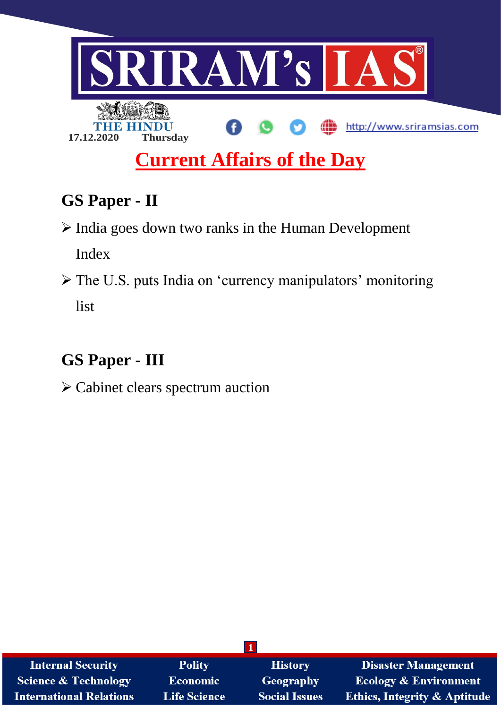

# **GS Paper - II**

 $\triangleright$  India goes down two ranks in the Human Development

Index

 The U.S. puts India on 'currency manipulators' monitoring list

# **GS Paper - III**

Cabinet clears spectrum auction

| <b>Internal Security</b>       | <b>Polity</b>       | <b>History</b>       | <b>Disaster Management</b>              |  |  |  |
|--------------------------------|---------------------|----------------------|-----------------------------------------|--|--|--|
| Science & Technology           | Economic            | <b>Geography</b>     | <b>Ecology &amp; Environment</b>        |  |  |  |
| <b>International Relations</b> | <b>Life Science</b> | <b>Social Issues</b> | <b>Ethics, Integrity &amp; Aptitude</b> |  |  |  |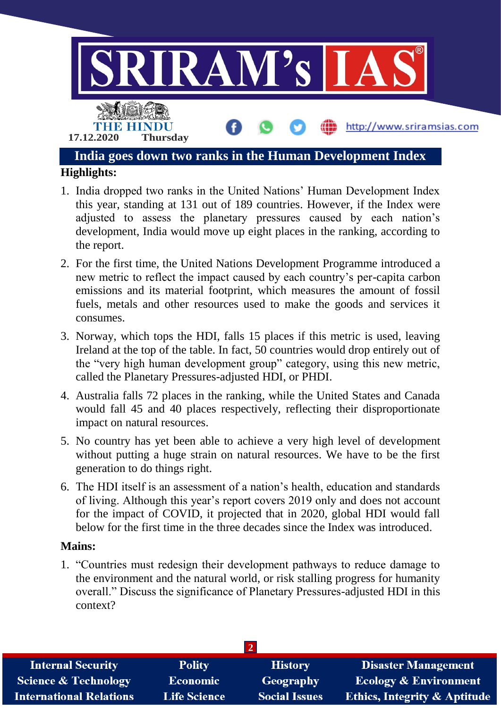

- 1. India dropped two ranks in the United Nations' Human Development Index this year, standing at 131 out of 189 countries. However, if the Index were adjusted to assess the planetary pressures caused by each nation's development, India would move up eight places in the ranking, according to the report.
- 2. For the first time, the United Nations Development Programme introduced a new metric to reflect the impact caused by each country's per-capita carbon emissions and its material footprint, which measures the amount of fossil fuels, metals and other resources used to make the goods and services it consumes.
- 3. Norway, which tops the HDI, falls 15 places if this metric is used, leaving Ireland at the top of the table. In fact, 50 countries would drop entirely out of the "very high human development group" category, using this new metric, called the Planetary Pressures-adjusted HDI, or PHDI.
- 4. Australia falls 72 places in the ranking, while the United States and Canada would fall 45 and 40 places respectively, reflecting their disproportionate impact on natural resources.
- 5. No country has yet been able to achieve a very high level of development without putting a huge strain on natural resources. We have to be the first generation to do things right.
- 6. The HDI itself is an assessment of a nation's health, education and standards of living. Although this year's report covers 2019 only and does not account for the impact of COVID, it projected that in 2020, global HDI would fall below for the first time in the three decades since the Index was introduced.

#### **Mains:**

1. "Countries must redesign their development pathways to reduce damage to the environment and the natural world, or risk stalling progress for humanity overall." Discuss the significance of Planetary Pressures-adjusted HDI in this context?

| <b>Internal Security</b>        | <b>Polity</b>       | <b>History</b>       | <b>Disaster Management</b>              |  |  |  |
|---------------------------------|---------------------|----------------------|-----------------------------------------|--|--|--|
| <b>Science &amp; Technology</b> | <b>Economic</b>     | Geography            | <b>Ecology &amp; Environment</b>        |  |  |  |
| <b>International Relations</b>  | <b>Life Science</b> | <b>Social Issues</b> | <b>Ethics, Integrity &amp; Aptitude</b> |  |  |  |